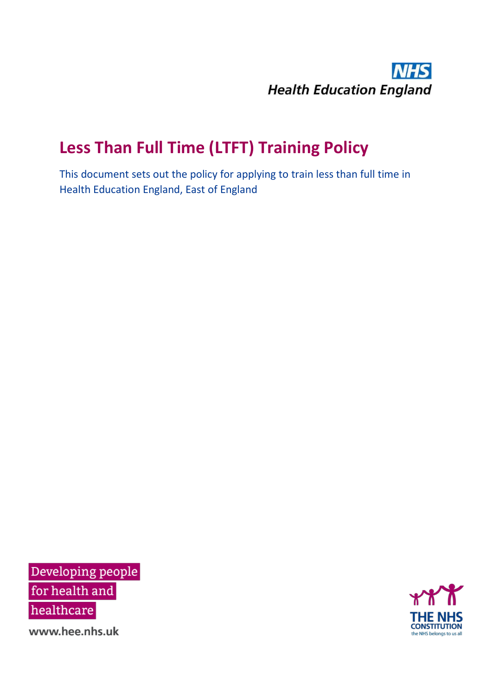

# **Less Than Full Time (LTFT) Training Policy**

This document sets out the policy for applying to train less than full time in Health Education England, East of England

Developing people for health and healthcare

**CONSTITUTION** the NHS belongs to us all

www.hee.nhs.uk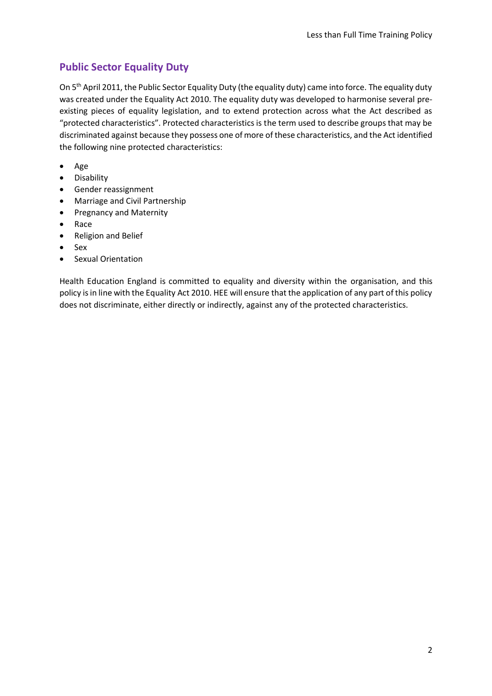### **Public Sector Equality Duty**

On 5th April 2011, the Public Sector Equality Duty (the equality duty) came into force. The equality duty was created under the Equality Act 2010. The equality duty was developed to harmonise several preexisting pieces of equality legislation, and to extend protection across what the Act described as "protected characteristics". Protected characteristics is the term used to describe groups that may be discriminated against because they possess one of more of these characteristics, and the Act identified the following nine protected characteristics:

- Age
- Disability
- Gender reassignment
- Marriage and Civil Partnership
- Pregnancy and Maternity
- Race
- Religion and Belief
- Sex
- Sexual Orientation

Health Education England is committed to equality and diversity within the organisation, and this policy is in line with the Equality Act 2010. HEE will ensure that the application of any part of this policy does not discriminate, either directly or indirectly, against any of the protected characteristics.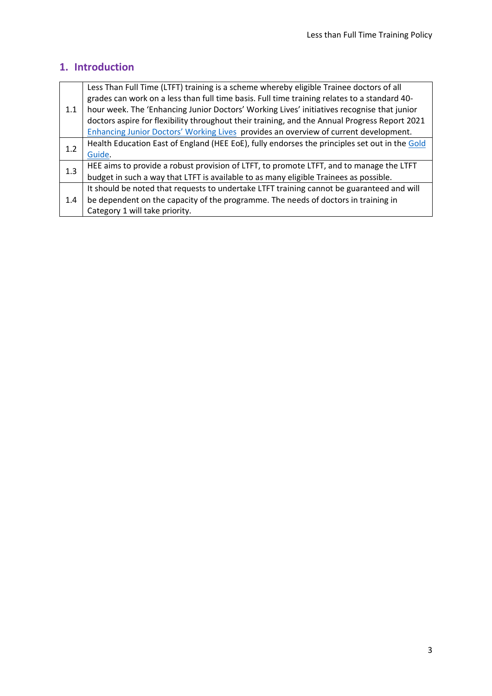### **1. Introduction**

| 1.1 | Less Than Full Time (LTFT) training is a scheme whereby eligible Trainee doctors of all       |
|-----|-----------------------------------------------------------------------------------------------|
|     | grades can work on a less than full time basis. Full time training relates to a standard 40-  |
|     | hour week. The 'Enhancing Junior Doctors' Working Lives' initiatives recognise that junior    |
|     | doctors aspire for flexibility throughout their training, and the Annual Progress Report 2021 |
|     | Enhancing Junior Doctors' Working Lives provides an overview of current development.          |
| 1.2 | Health Education East of England (HEE EoE), fully endorses the principles set out in the Gold |
|     | Guide.                                                                                        |
| 1.3 | HEE aims to provide a robust provision of LTFT, to promote LTFT, and to manage the LTFT       |
|     | budget in such a way that LTFT is available to as many eligible Trainees as possible.         |
| 1.4 | It should be noted that requests to undertake LTFT training cannot be guaranteed and will     |
|     | be dependent on the capacity of the programme. The needs of doctors in training in            |
|     | Category 1 will take priority.                                                                |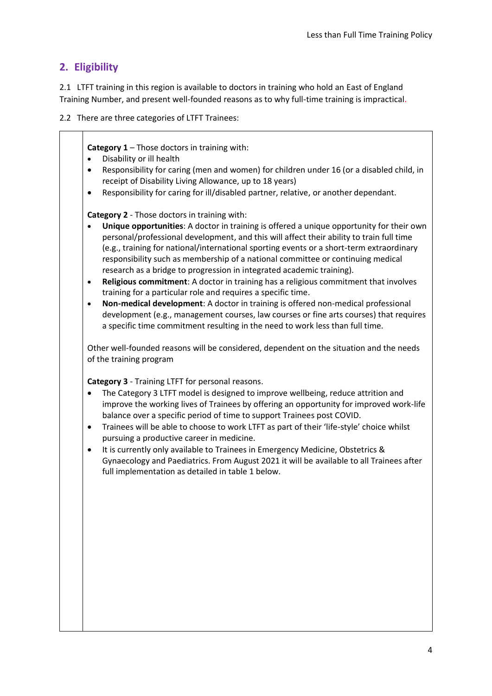#### **2. Eligibility**

2.1 LTFT training in this region is available to doctors in training who hold an East of England Training Number, and present well-founded reasons as to why full-time training is impractical.

2.2 There are three categories of LTFT Trainees:

**Category 1** – Those doctors in training with:

- Disability or ill health
- Responsibility for caring (men and women) for children under 16 (or a disabled child, in receipt of Disability Living Allowance, up to 18 years)
- Responsibility for caring for ill/disabled partner, relative, or another dependant.

**Category 2** - Those doctors in training with:

- **Unique opportunities**: A doctor in training is offered a unique opportunity for their own personal/professional development, and this will affect their ability to train full time (e.g., training for national/international sporting events or a short-term extraordinary responsibility such as membership of a national committee or continuing medical research as a bridge to progression in integrated academic training).
- **Religious commitment**: A doctor in training has a religious commitment that involves training for a particular role and requires a specific time.
- **Non-medical development**: A doctor in training is offered non-medical professional development (e.g., management courses, law courses or fine arts courses) that requires a specific time commitment resulting in the need to work less than full time.

Other well-founded reasons will be considered, dependent on the situation and the needs of the training program

**Category 3** - Training LTFT for personal reasons.

- The Category 3 LTFT model is designed to improve wellbeing, reduce attrition and improve the working lives of Trainees by offering an opportunity for improved work-life balance over a specific period of time to support Trainees post COVID.
- Trainees will be able to choose to work LTFT as part of their 'life-style' choice whilst pursuing a productive career in medicine.
- It is currently only available to Trainees in Emergency Medicine, Obstetrics & Gynaecology and Paediatrics. From August 2021 it will be available to all Trainees after full implementation as detailed in table 1 below.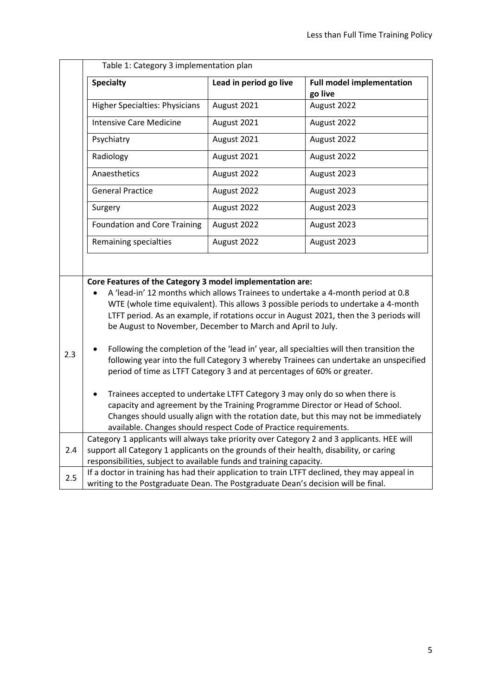|     | Table 1: Category 3 implementation plan                                                                                                                                                                                                                                                                                                                                                                                                                                                                                                                                                 |                        |                                                                                                                                                                                                                                                                  |
|-----|-----------------------------------------------------------------------------------------------------------------------------------------------------------------------------------------------------------------------------------------------------------------------------------------------------------------------------------------------------------------------------------------------------------------------------------------------------------------------------------------------------------------------------------------------------------------------------------------|------------------------|------------------------------------------------------------------------------------------------------------------------------------------------------------------------------------------------------------------------------------------------------------------|
|     | <b>Specialty</b>                                                                                                                                                                                                                                                                                                                                                                                                                                                                                                                                                                        | Lead in period go live | <b>Full model implementation</b><br>go live                                                                                                                                                                                                                      |
|     | <b>Higher Specialties: Physicians</b>                                                                                                                                                                                                                                                                                                                                                                                                                                                                                                                                                   | August 2021            | August 2022                                                                                                                                                                                                                                                      |
|     | <b>Intensive Care Medicine</b>                                                                                                                                                                                                                                                                                                                                                                                                                                                                                                                                                          | August 2021            | August 2022                                                                                                                                                                                                                                                      |
|     | Psychiatry                                                                                                                                                                                                                                                                                                                                                                                                                                                                                                                                                                              | August 2021            | August 2022                                                                                                                                                                                                                                                      |
|     | Radiology                                                                                                                                                                                                                                                                                                                                                                                                                                                                                                                                                                               | August 2021            | August 2022                                                                                                                                                                                                                                                      |
|     | Anaesthetics                                                                                                                                                                                                                                                                                                                                                                                                                                                                                                                                                                            | August 2022            | August 2023                                                                                                                                                                                                                                                      |
|     | <b>General Practice</b>                                                                                                                                                                                                                                                                                                                                                                                                                                                                                                                                                                 | August 2022            | August 2023                                                                                                                                                                                                                                                      |
|     | Surgery                                                                                                                                                                                                                                                                                                                                                                                                                                                                                                                                                                                 | August 2022            | August 2023                                                                                                                                                                                                                                                      |
|     | <b>Foundation and Core Training</b>                                                                                                                                                                                                                                                                                                                                                                                                                                                                                                                                                     | August 2022            | August 2023                                                                                                                                                                                                                                                      |
|     | Remaining specialties                                                                                                                                                                                                                                                                                                                                                                                                                                                                                                                                                                   | August 2022            | August 2023                                                                                                                                                                                                                                                      |
|     | Core Features of the Category 3 model implementation are:<br>be August to November, December to March and April to July.                                                                                                                                                                                                                                                                                                                                                                                                                                                                |                        | A 'lead-in' 12 months which allows Trainees to undertake a 4-month period at 0.8<br>WTE (whole time equivalent). This allows 3 possible periods to undertake a 4-month<br>LTFT period. As an example, if rotations occur in August 2021, then the 3 periods will |
| 2.3 | Following the completion of the 'lead in' year, all specialties will then transition the<br>following year into the full Category 3 whereby Trainees can undertake an unspecified<br>period of time as LTFT Category 3 and at percentages of 60% or greater.<br>Trainees accepted to undertake LTFT Category 3 may only do so when there is<br>capacity and agreement by the Training Programme Director or Head of School.<br>Changes should usually align with the rotation date, but this may not be immediately<br>available. Changes should respect Code of Practice requirements. |                        |                                                                                                                                                                                                                                                                  |
| 2.4 | Category 1 applicants will always take priority over Category 2 and 3 applicants. HEE will<br>support all Category 1 applicants on the grounds of their health, disability, or caring<br>responsibilities, subject to available funds and training capacity.                                                                                                                                                                                                                                                                                                                            |                        |                                                                                                                                                                                                                                                                  |
| 2.5 | If a doctor in training has had their application to train LTFT declined, they may appeal in<br>writing to the Postgraduate Dean. The Postgraduate Dean's decision will be final.                                                                                                                                                                                                                                                                                                                                                                                                       |                        |                                                                                                                                                                                                                                                                  |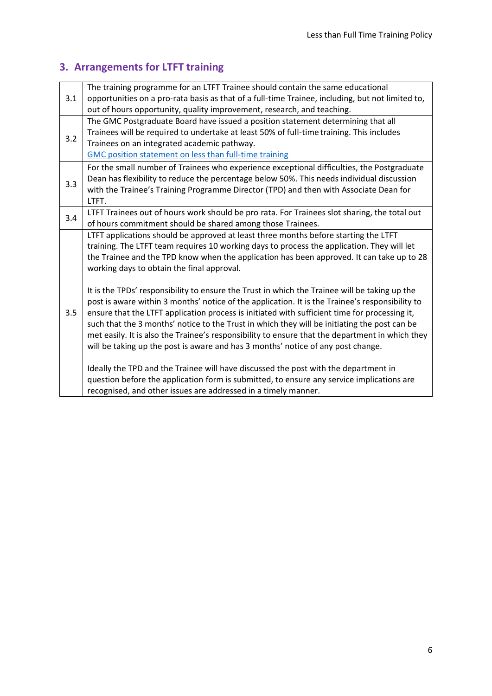# **3. Arrangements for LTFT training**

|     | The training programme for an LTFT Trainee should contain the same educational                   |
|-----|--------------------------------------------------------------------------------------------------|
| 3.1 | opportunities on a pro-rata basis as that of a full-time Trainee, including, but not limited to, |
|     | out of hours opportunity, quality improvement, research, and teaching.                           |
|     | The GMC Postgraduate Board have issued a position statement determining that all                 |
| 3.2 | Trainees will be required to undertake at least 50% of full-time training. This includes         |
|     | Trainees on an integrated academic pathway.                                                      |
|     | <b>GMC position statement on less than full-time training</b>                                    |
|     | For the small number of Trainees who experience exceptional difficulties, the Postgraduate       |
| 3.3 | Dean has flexibility to reduce the percentage below 50%. This needs individual discussion        |
|     | with the Trainee's Training Programme Director (TPD) and then with Associate Dean for            |
|     | LTFT.                                                                                            |
| 3.4 | LTFT Trainees out of hours work should be pro rata. For Trainees slot sharing, the total out     |
|     | of hours commitment should be shared among those Trainees.                                       |
|     | LTFT applications should be approved at least three months before starting the LTFT              |
|     | training. The LTFT team requires 10 working days to process the application. They will let       |
|     | the Trainee and the TPD know when the application has been approved. It can take up to 28        |
|     | working days to obtain the final approval.                                                       |
|     |                                                                                                  |
|     | It is the TPDs' responsibility to ensure the Trust in which the Trainee will be taking up the    |
|     | post is aware within 3 months' notice of the application. It is the Trainee's responsibility to  |
| 3.5 | ensure that the LTFT application process is initiated with sufficient time for processing it,    |
|     | such that the 3 months' notice to the Trust in which they will be initiating the post can be     |
|     | met easily. It is also the Trainee's responsibility to ensure that the department in which they  |
|     | will be taking up the post is aware and has 3 months' notice of any post change.                 |
|     |                                                                                                  |
|     | Ideally the TPD and the Trainee will have discussed the post with the department in              |
|     | question before the application form is submitted, to ensure any service implications are        |
|     | recognised, and other issues are addressed in a timely manner.                                   |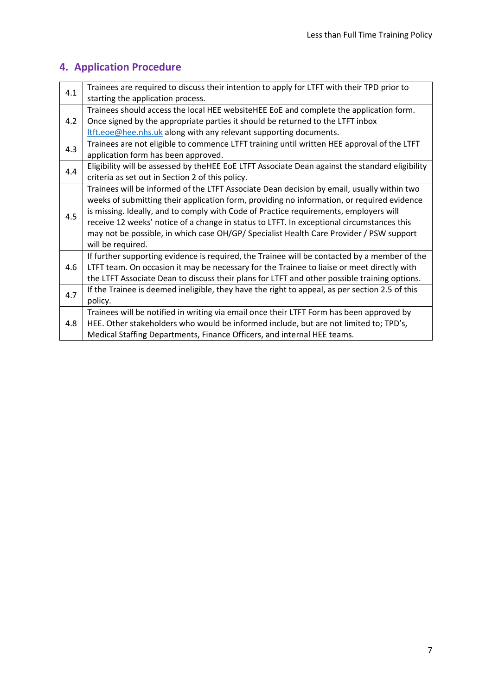# **4. Application Procedure**

| 4.1 | Trainees are required to discuss their intention to apply for LTFT with their TPD prior to      |
|-----|-------------------------------------------------------------------------------------------------|
|     | starting the application process.                                                               |
|     | Trainees should access the local HEE websiteHEE EoE and complete the application form.          |
| 4.2 | Once signed by the appropriate parties it should be returned to the LTFT inbox                  |
|     | ltft.eoe@hee.nhs.uk along with any relevant supporting documents.                               |
| 4.3 | Trainees are not eligible to commence LTFT training until written HEE approval of the LTFT      |
|     | application form has been approved.                                                             |
| 4.4 | Eligibility will be assessed by theHEE EoE LTFT Associate Dean against the standard eligibility |
|     | criteria as set out in Section 2 of this policy.                                                |
|     | Trainees will be informed of the LTFT Associate Dean decision by email, usually within two      |
|     | weeks of submitting their application form, providing no information, or required evidence      |
| 4.5 | is missing. Ideally, and to comply with Code of Practice requirements, employers will           |
|     | receive 12 weeks' notice of a change in status to LTFT. In exceptional circumstances this       |
|     | may not be possible, in which case OH/GP/ Specialist Health Care Provider / PSW support         |
|     | will be required.                                                                               |
|     | If further supporting evidence is required, the Trainee will be contacted by a member of the    |
| 4.6 | LTFT team. On occasion it may be necessary for the Trainee to liaise or meet directly with      |
|     | the LTFT Associate Dean to discuss their plans for LTFT and other possible training options.    |
| 4.7 | If the Trainee is deemed ineligible, they have the right to appeal, as per section 2.5 of this  |
|     | policy.                                                                                         |
|     | Trainees will be notified in writing via email once their LTFT Form has been approved by        |
| 4.8 | HEE. Other stakeholders who would be informed include, but are not limited to; TPD's,           |
|     | Medical Staffing Departments, Finance Officers, and internal HEE teams.                         |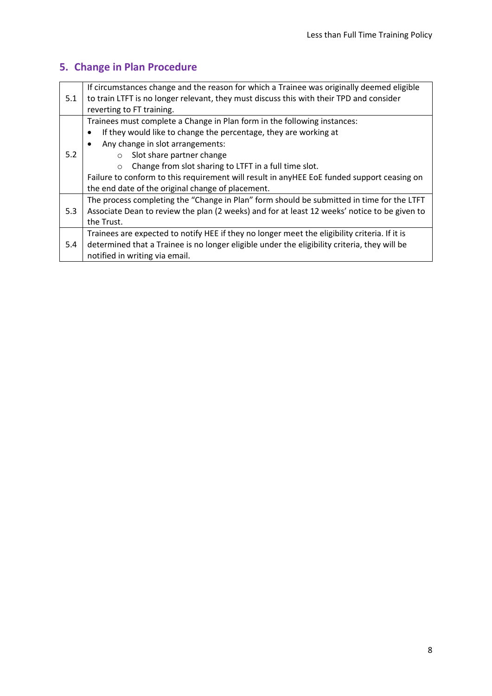# **5. Change in Plan Procedure**

|     | If circumstances change and the reason for which a Trainee was originally deemed eligible     |
|-----|-----------------------------------------------------------------------------------------------|
| 5.1 | to train LTFT is no longer relevant, they must discuss this with their TPD and consider       |
|     | reverting to FT training.                                                                     |
|     | Trainees must complete a Change in Plan form in the following instances:                      |
|     | If they would like to change the percentage, they are working at<br>$\bullet$                 |
| 5.2 | Any change in slot arrangements:                                                              |
|     | Slot share partner change<br>$\bigcirc$                                                       |
|     | Change from slot sharing to LTFT in a full time slot.                                         |
|     | Failure to conform to this requirement will result in anyHEE EoE funded support ceasing on    |
|     | the end date of the original change of placement.                                             |
|     | The process completing the "Change in Plan" form should be submitted in time for the LTFT     |
| 5.3 | Associate Dean to review the plan (2 weeks) and for at least 12 weeks' notice to be given to  |
|     | the Trust.                                                                                    |
|     | Trainees are expected to notify HEE if they no longer meet the eligibility criteria. If it is |
| 5.4 | determined that a Trainee is no longer eligible under the eligibility criteria, they will be  |
|     | notified in writing via email.                                                                |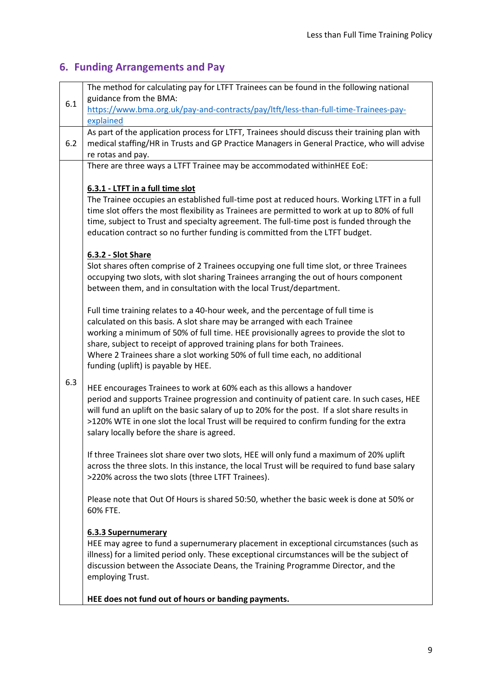# **6. Funding Arrangements and Pay**

|     | The method for calculating pay for LTFT Trainees can be found in the following national<br>guidance from the BMA:                                                                                                                                                                                                                                                      |
|-----|------------------------------------------------------------------------------------------------------------------------------------------------------------------------------------------------------------------------------------------------------------------------------------------------------------------------------------------------------------------------|
| 6.1 | https://www.bma.org.uk/pay-and-contracts/pay/ltft/less-than-full-time-Trainees-pay-                                                                                                                                                                                                                                                                                    |
|     | explained                                                                                                                                                                                                                                                                                                                                                              |
| 6.2 | As part of the application process for LTFT, Trainees should discuss their training plan with<br>medical staffing/HR in Trusts and GP Practice Managers in General Practice, who will advise<br>re rotas and pay.                                                                                                                                                      |
|     | There are three ways a LTFT Trainee may be accommodated withinHEE EoE:                                                                                                                                                                                                                                                                                                 |
|     |                                                                                                                                                                                                                                                                                                                                                                        |
|     | 6.3.1 - LTFT in a full time slot                                                                                                                                                                                                                                                                                                                                       |
|     | The Trainee occupies an established full-time post at reduced hours. Working LTFT in a full<br>time slot offers the most flexibility as Trainees are permitted to work at up to 80% of full<br>time, subject to Trust and specialty agreement. The full-time post is funded through the<br>education contract so no further funding is committed from the LTFT budget. |
|     | 6.3.2 - Slot Share                                                                                                                                                                                                                                                                                                                                                     |
|     | Slot shares often comprise of 2 Trainees occupying one full time slot, or three Trainees<br>occupying two slots, with slot sharing Trainees arranging the out of hours component<br>between them, and in consultation with the local Trust/department.                                                                                                                 |
|     | Full time training relates to a 40-hour week, and the percentage of full time is                                                                                                                                                                                                                                                                                       |
|     | calculated on this basis. A slot share may be arranged with each Trainee                                                                                                                                                                                                                                                                                               |
|     | working a minimum of 50% of full time. HEE provisionally agrees to provide the slot to                                                                                                                                                                                                                                                                                 |
|     | share, subject to receipt of approved training plans for both Trainees.                                                                                                                                                                                                                                                                                                |
|     | Where 2 Trainees share a slot working 50% of full time each, no additional<br>funding (uplift) is payable by HEE.                                                                                                                                                                                                                                                      |
| 6.3 | HEE encourages Trainees to work at 60% each as this allows a handover                                                                                                                                                                                                                                                                                                  |
|     | period and supports Trainee progression and continuity of patient care. In such cases, HEE                                                                                                                                                                                                                                                                             |
|     | will fund an uplift on the basic salary of up to 20% for the post. If a slot share results in                                                                                                                                                                                                                                                                          |
|     | >120% WTE in one slot the local Trust will be required to confirm funding for the extra                                                                                                                                                                                                                                                                                |
|     | salary locally before the share is agreed.                                                                                                                                                                                                                                                                                                                             |
|     | If three Trainees slot share over two slots, HEE will only fund a maximum of 20% uplift                                                                                                                                                                                                                                                                                |
|     | across the three slots. In this instance, the local Trust will be required to fund base salary                                                                                                                                                                                                                                                                         |
|     | >220% across the two slots (three LTFT Trainees).                                                                                                                                                                                                                                                                                                                      |
|     | Please note that Out Of Hours is shared 50:50, whether the basic week is done at 50% or                                                                                                                                                                                                                                                                                |
|     | 60% FTE.                                                                                                                                                                                                                                                                                                                                                               |
|     | <b>6.3.3 Supernumerary</b>                                                                                                                                                                                                                                                                                                                                             |
|     | HEE may agree to fund a supernumerary placement in exceptional circumstances (such as                                                                                                                                                                                                                                                                                  |
|     | illness) for a limited period only. These exceptional circumstances will be the subject of                                                                                                                                                                                                                                                                             |
|     | discussion between the Associate Deans, the Training Programme Director, and the<br>employing Trust.                                                                                                                                                                                                                                                                   |
|     |                                                                                                                                                                                                                                                                                                                                                                        |
|     | HEE does not fund out of hours or banding payments.                                                                                                                                                                                                                                                                                                                    |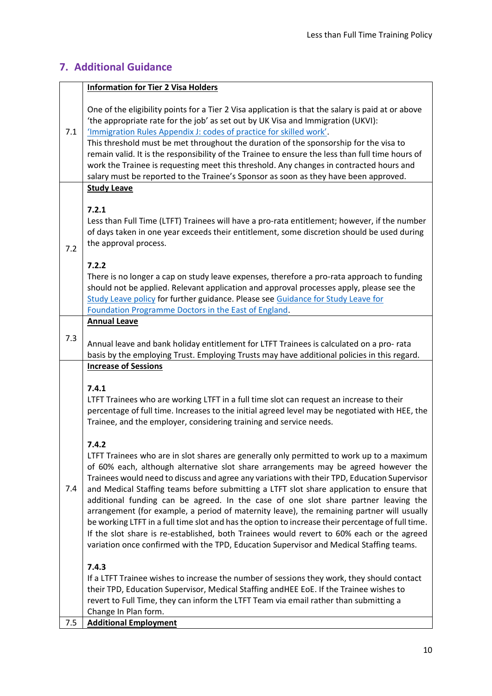#### **7. Additional Guidance**

#### **Information for Tier 2 Visa Holders**

7.1 One of the eligibility points for a Tier 2 Visa application is that the salary is paid at or above 'the appropriate rate for the job' as set out by UK Visa and Immigration (UKVI): ['Immigration Rules Appendix J: codes of practice for skilled work'](file:///C:/Users/hannah.foskett/AppData/Local/Microsoft/Windows/INetCache/Content.Outlook/T7P8UJN1/‘Immigration%20Rules%20Appendix%20J:%20codes%20of%20practice%20for%20skilled%20work’). This threshold must be met throughout the duration of the sponsorship for the visa to remain valid. It is the responsibility of the Trainee to ensure the less than full time hours of work the Trainee is requesting meet this threshold. Any changes in contracted hours and salary must be reported to the Trainee's Sponsor as soon as they have been approved. 7.2 **Study Leave 7.2.1** Less than Full Time (LTFT) Trainees will have a pro-rata entitlement; however, if the number of days taken in one year exceeds their entitlement, some discretion should be used during the approval process. **7.2.2** There is no longer a cap on study leave expenses, therefore a pro-rata approach to funding should not be applied. Relevant application and approval processes apply, please see the [Study Leave policy](https://heeoe.hee.nhs.uk/Study_Leave) for further guidance. Please see [Guidance for Study Leave for](https://heeoe.hee.nhs.uk/sites/default/files/study_leave_guidance_for_foundation_programme.pdf#:~:text=Study%20leave%20%28SL%29%2C%20including%20the%20delivered%20educational%20programmes%2C,foundation%20operational%20guide%20and%20the%20junior%20doctor%20contract.)  [Foundation Programme Doctors in the East of England.](https://heeoe.hee.nhs.uk/sites/default/files/study_leave_guidance_for_foundation_programme.pdf#:~:text=Study%20leave%20%28SL%29%2C%20including%20the%20delivered%20educational%20programmes%2C,foundation%20operational%20guide%20and%20the%20junior%20doctor%20contract.) 7.3 **Annual Leave** Annual leave and bank holiday entitlement for LTFT Trainees is calculated on a pro- rata basis by the employing Trust. Employing Trusts may have additional policies in this regard. **Increase of Sessions 7.4.1**

LTFT Trainees who are working LTFT in a full time slot can request an increase to their percentage of full time. Increases to the initial agreed level may be negotiated with HEE, the Trainee, and the employer, considering training and service needs.

#### **7.4.2**

LTFT Trainees who are in slot shares are generally only permitted to work up to a maximum of 60% each, although alternative slot share arrangements may be agreed however the Trainees would need to discuss and agree any variations with their TPD, Education Supervisor

7.4 and Medical Staffing teams before submitting a LTFT slot share application to ensure that additional funding can be agreed. In the case of one slot share partner leaving the arrangement (for example, a period of maternity leave), the remaining partner will usually be working LTFT in a full time slot and has the option to increase their percentage of full time. If the slot share is re-established, both Trainees would revert to 60% each or the agreed variation once confirmed with the TPD, Education Supervisor and Medical Staffing teams.

#### **7.4.3**

If a LTFT Trainee wishes to increase the number of sessions they work, they should contact their TPD, Education Supervisor, Medical Staffing andHEE EoE. If the Trainee wishes to revert to Full Time, they can inform the LTFT Team via email rather than submitting a Change In Plan form.

7.5 **Additional Employment**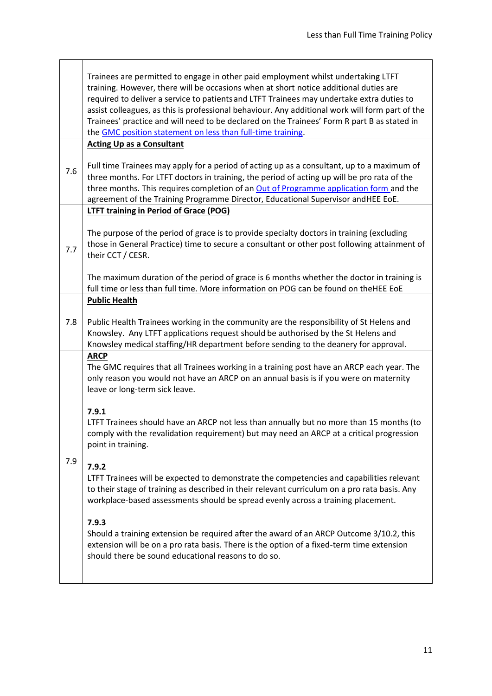|     | Trainees are permitted to engage in other paid employment whilst undertaking LTFT<br>training. However, there will be occasions when at short notice additional duties are<br>required to deliver a service to patients and LTFT Trainees may undertake extra duties to<br>assist colleagues, as this is professional behaviour. Any additional work will form part of the<br>Trainees' practice and will need to be declared on the Trainees' Form R part B as stated in<br>the GMC position statement on less than full-time training. |
|-----|------------------------------------------------------------------------------------------------------------------------------------------------------------------------------------------------------------------------------------------------------------------------------------------------------------------------------------------------------------------------------------------------------------------------------------------------------------------------------------------------------------------------------------------|
|     | <b>Acting Up as a Consultant</b>                                                                                                                                                                                                                                                                                                                                                                                                                                                                                                         |
| 7.6 | Full time Trainees may apply for a period of acting up as a consultant, up to a maximum of<br>three months. For LTFT doctors in training, the period of acting up will be pro rata of the<br>three months. This requires completion of an Out of Programme application form and the<br>agreement of the Training Programme Director, Educational Supervisor andHEE EoE.                                                                                                                                                                  |
|     | <b>LTFT training in Period of Grace (POG)</b>                                                                                                                                                                                                                                                                                                                                                                                                                                                                                            |
| 7.7 | The purpose of the period of grace is to provide specialty doctors in training (excluding<br>those in General Practice) time to secure a consultant or other post following attainment of<br>their CCT / CESR.                                                                                                                                                                                                                                                                                                                           |
|     | The maximum duration of the period of grace is 6 months whether the doctor in training is<br>full time or less than full time. More information on POG can be found on theHEE EoE                                                                                                                                                                                                                                                                                                                                                        |
|     | <b>Public Health</b>                                                                                                                                                                                                                                                                                                                                                                                                                                                                                                                     |
| 7.8 | Public Health Trainees working in the community are the responsibility of St Helens and<br>Knowsley. Any LTFT applications request should be authorised by the St Helens and<br>Knowsley medical staffing/HR department before sending to the deanery for approval.                                                                                                                                                                                                                                                                      |
| 7.9 | <b>ARCP</b><br>The GMC requires that all Trainees working in a training post have an ARCP each year. The<br>only reason you would not have an ARCP on an annual basis is if you were on maternity<br>leave or long-term sick leave.                                                                                                                                                                                                                                                                                                      |
|     | 7.9.1<br>LTFT Trainees should have an ARCP not less than annually but no more than 15 months (to<br>comply with the revalidation requirement) but may need an ARCP at a critical progression<br>point in training.                                                                                                                                                                                                                                                                                                                       |
|     | 7.9.2<br>LTFT Trainees will be expected to demonstrate the competencies and capabilities relevant<br>to their stage of training as described in their relevant curriculum on a pro rata basis. Any<br>workplace-based assessments should be spread evenly across a training placement.                                                                                                                                                                                                                                                   |
|     | 7.9.3<br>Should a training extension be required after the award of an ARCP Outcome 3/10.2, this<br>extension will be on a pro rata basis. There is the option of a fixed-term time extension<br>should there be sound educational reasons to do so.                                                                                                                                                                                                                                                                                     |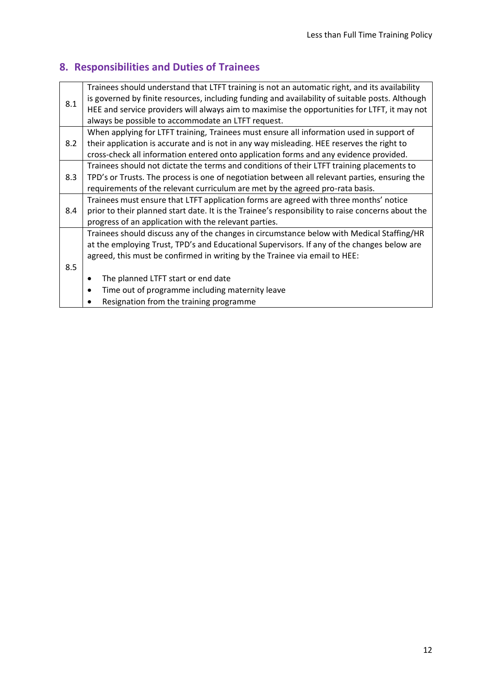# **8. Responsibilities and Duties of Trainees**

|     | Trainees should understand that LTFT training is not an automatic right, and its availability     |
|-----|---------------------------------------------------------------------------------------------------|
| 8.1 | is governed by finite resources, including funding and availability of suitable posts. Although   |
|     | HEE and service providers will always aim to maximise the opportunities for LTFT, it may not      |
|     | always be possible to accommodate an LTFT request.                                                |
|     | When applying for LTFT training, Trainees must ensure all information used in support of          |
| 8.2 | their application is accurate and is not in any way misleading. HEE reserves the right to         |
|     | cross-check all information entered onto application forms and any evidence provided.             |
|     | Trainees should not dictate the terms and conditions of their LTFT training placements to         |
| 8.3 | TPD's or Trusts. The process is one of negotiation between all relevant parties, ensuring the     |
|     | requirements of the relevant curriculum are met by the agreed pro-rata basis.                     |
|     | Trainees must ensure that LTFT application forms are agreed with three months' notice             |
| 8.4 | prior to their planned start date. It is the Trainee's responsibility to raise concerns about the |
|     | progress of an application with the relevant parties.                                             |
|     | Trainees should discuss any of the changes in circumstance below with Medical Staffing/HR         |
|     | at the employing Trust, TPD's and Educational Supervisors. If any of the changes below are        |
|     | agreed, this must be confirmed in writing by the Trainee via email to HEE:                        |
| 8.5 |                                                                                                   |
|     | The planned LTFT start or end date                                                                |
|     | Time out of programme including maternity leave                                                   |
|     | Resignation from the training programme                                                           |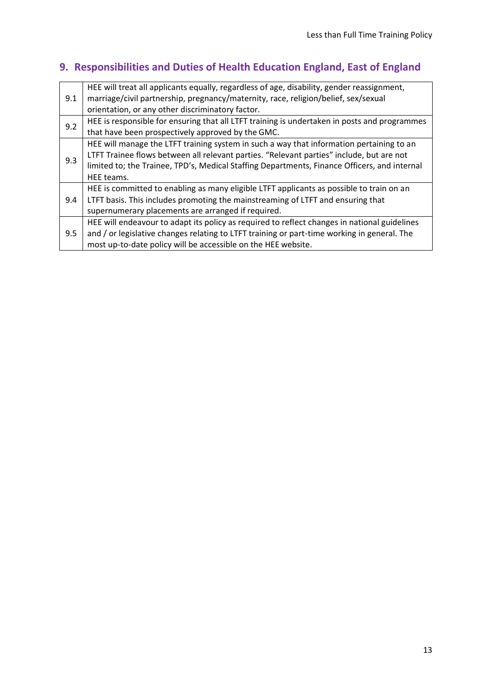# **9. Responsibilities and Duties of Health Education England, East of England**

| 9.1 | HEE will treat all applicants equally, regardless of age, disability, gender reassignment,<br>marriage/civil partnership, pregnancy/maternity, race, religion/belief, sex/sexual<br>orientation, or any other discriminatory factor.                                                               |
|-----|----------------------------------------------------------------------------------------------------------------------------------------------------------------------------------------------------------------------------------------------------------------------------------------------------|
|     |                                                                                                                                                                                                                                                                                                    |
| 9.2 | HEE is responsible for ensuring that all LTFT training is undertaken in posts and programmes                                                                                                                                                                                                       |
|     | that have been prospectively approved by the GMC.                                                                                                                                                                                                                                                  |
| 9.3 | HEE will manage the LTFT training system in such a way that information pertaining to an<br>LTFT Trainee flows between all relevant parties. "Relevant parties" include, but are not<br>limited to; the Trainee, TPD's, Medical Staffing Departments, Finance Officers, and internal<br>HEE teams. |
| 9.4 | HEE is committed to enabling as many eligible LTFT applicants as possible to train on an                                                                                                                                                                                                           |
|     | LTFT basis. This includes promoting the mainstreaming of LTFT and ensuring that                                                                                                                                                                                                                    |
|     | supernumerary placements are arranged if required.                                                                                                                                                                                                                                                 |
| 9.5 | HEE will endeavour to adapt its policy as required to reflect changes in national guidelines                                                                                                                                                                                                       |
|     | and / or legislative changes relating to LTFT training or part-time working in general. The                                                                                                                                                                                                        |
|     | most up-to-date policy will be accessible on the HEE website.                                                                                                                                                                                                                                      |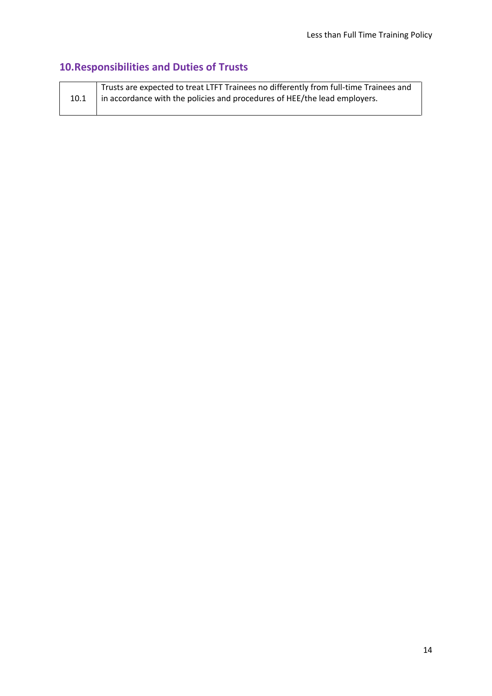# **10.Responsibilities and Duties of Trusts**

| 10.1 | Trusts are expected to treat LTFT Trainees no differently from full-time Trainees and<br>  in accordance with the policies and procedures of HEE/the lead employers. |
|------|----------------------------------------------------------------------------------------------------------------------------------------------------------------------|
|------|----------------------------------------------------------------------------------------------------------------------------------------------------------------------|